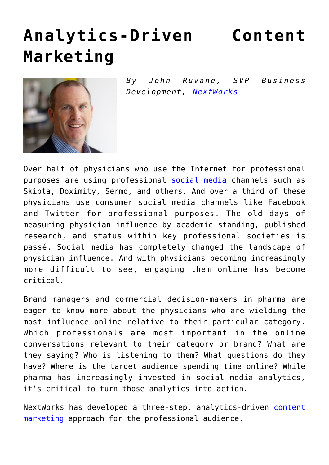## **[Analytics-Driven Content](https://www.commpro.biz/analytics-driven-content-marketing/) [Marketing](https://www.commpro.biz/analytics-driven-content-marketing/)**



*By John Ruvane, SVP Business Development, [NextWorks](https://www.nextworks.com)*

Over half of physicians who use the Internet for professional purposes are using professional [social media](https://www.commpro.biz/social-media-section/#.VszbopwrLIU) channels such as Skipta, Doximity, Sermo, and others. And over a third of these physicians use consumer social media channels like Facebook and Twitter for professional purposes. The old days of measuring physician influence by academic standing, published research, and status within key professional societies is passé. Social media has completely changed the landscape of physician influence. And with physicians becoming increasingly more difficult to see, engaging them online has become critical.

Brand managers and commercial decision-makers in pharma are eager to know more about the physicians who are wielding the most influence online relative to their particular category. Which professionals are most important in the online conversations relevant to their category or brand? What are they saying? Who is listening to them? What questions do they have? Where is the target audience spending time online? While pharma has increasingly invested in social media analytics, it's critical to turn those analytics into action.

NextWorks has developed a three-step, analytics-driven [content](https://www.commpro.biz/marketing-section/#.Vszb0pwrLIU) [marketing](https://www.commpro.biz/marketing-section/#.Vszb0pwrLIU) approach for the professional audience.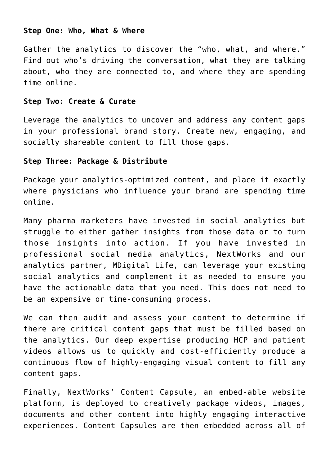## **Step One: Who, What & Where**

Gather the analytics to discover the "who, what, and where." Find out who's driving the conversation, what they are talking about, who they are connected to, and where they are spending time online.

## **Step Two: Create & Curate**

Leverage the analytics to uncover and address any content gaps in your professional brand story. Create new, engaging, and socially shareable content to fill those gaps.

## **Step Three: Package & Distribute**

Package your analytics-optimized content, and place it exactly where physicians who influence your brand are spending time online.

Many pharma marketers have invested in social analytics but struggle to either gather insights from those data or to turn those insights into action. If you have invested in professional social media analytics, NextWorks and our analytics partner, MDigital Life, can leverage your existing social analytics and complement it as needed to ensure you have the actionable data that you need. This does not need to be an expensive or time-consuming process.

We can then audit and assess your content to determine if there are critical content gaps that must be filled based on the analytics. Our deep expertise producing HCP and patient videos allows us to quickly and cost-efficiently produce a continuous flow of highly-engaging visual content to fill any content gaps.

Finally, NextWorks' Content Capsule, an embed-able website platform, is deployed to creatively package videos, images, documents and other content into highly engaging interactive experiences. Content Capsules are then embedded across all of